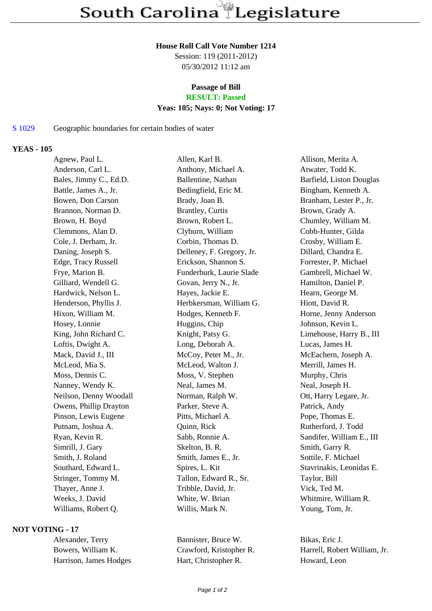### **House Roll Call Vote Number 1214**

Session: 119 (2011-2012) 05/30/2012 11:12 am

# **Passage of Bill**

## **RESULT: Passed**

### **Yeas: 105; Nays: 0; Not Voting: 17**

#### S 1029 Geographic boundaries for certain bodies of water

#### **YEAS - 105**

| Agnew, Paul L.         | Allen, Karl B.            | Allison, Merita A.        |
|------------------------|---------------------------|---------------------------|
| Anderson, Carl L.      | Anthony, Michael A.       | Atwater, Todd K.          |
| Bales, Jimmy C., Ed.D. | Ballentine, Nathan        | Barfield, Liston Douglas  |
| Battle, James A., Jr.  | Bedingfield, Eric M.      | Bingham, Kenneth A.       |
| Bowen, Don Carson      | Brady, Joan B.            | Branham, Lester P., Jr.   |
| Brannon, Norman D.     | Brantley, Curtis          | Brown, Grady A.           |
| Brown, H. Boyd         | Brown, Robert L.          | Chumley, William M.       |
| Clemmons, Alan D.      | Clyburn, William          | Cobb-Hunter, Gilda        |
| Cole, J. Derham, Jr.   | Corbin, Thomas D.         | Crosby, William E.        |
| Daning, Joseph S.      | Delleney, F. Gregory, Jr. | Dillard, Chandra E.       |
| Edge, Tracy Russell    | Erickson, Shannon S.      | Forrester, P. Michael     |
| Frye, Marion B.        | Funderburk, Laurie Slade  | Gambrell, Michael W.      |
| Gilliard, Wendell G.   | Govan, Jerry N., Jr.      | Hamilton, Daniel P.       |
| Hardwick, Nelson L.    | Hayes, Jackie E.          | Hearn, George M.          |
| Henderson, Phyllis J.  | Herbkersman, William G.   | Hiott, David R.           |
| Hixon, William M.      | Hodges, Kenneth F.        | Horne, Jenny Anderson     |
| Hosey, Lonnie          | Huggins, Chip             | Johnson, Kevin L.         |
| King, John Richard C.  | Knight, Patsy G.          | Limehouse, Harry B., III  |
| Loftis, Dwight A.      | Long, Deborah A.          | Lucas, James H.           |
| Mack, David J., III    | McCoy, Peter M., Jr.      | McEachern, Joseph A.      |
| McLeod, Mia S.         | McLeod, Walton J.         | Merrill, James H.         |
| Moss, Dennis C.        | Moss, V. Stephen          | Murphy, Chris             |
| Nanney, Wendy K.       | Neal, James M.            | Neal, Joseph H.           |
| Neilson, Denny Woodall | Norman, Ralph W.          | Ott, Harry Legare, Jr.    |
| Owens, Phillip Drayton | Parker, Steve A.          | Patrick, Andy             |
| Pinson, Lewis Eugene   | Pitts, Michael A.         | Pope, Thomas E.           |
| Putnam, Joshua A.      | Quinn, Rick               | Rutherford, J. Todd       |
| Ryan, Kevin R.         | Sabb, Ronnie A.           | Sandifer, William E., III |
| Simrill, J. Gary       | Skelton, B. R.            | Smith, Garry R.           |
| Smith, J. Roland       | Smith, James E., Jr.      | Sottile, F. Michael       |
| Southard, Edward L.    | Spires, L. Kit            | Stavrinakis, Leonidas E.  |
| Stringer, Tommy M.     | Tallon, Edward R., Sr.    | Taylor, Bill              |
| Thayer, Anne J.        | Tribble, David, Jr.       | Vick, Ted M.              |
| Weeks, J. David        | White, W. Brian           | Whitmire, William R.      |
| Williams, Robert Q.    | Willis, Mark N.           | Young, Tom, Jr.           |
|                        |                           |                           |

#### **NOT VOTING - 17**

Alexander, Terry Bannister, Bruce W. Bikas, Eric J. Harrison, James Hodges Hart, Christopher R. Howard, Leon

Bowers, William K. Crawford, Kristopher R. Harrell, Robert William, Jr.